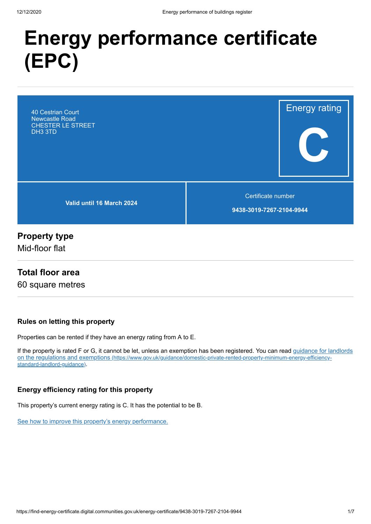# **Energy performance certificate (EPC)**

40 Cestrian Court Newcastle Road CHESTER LE STREET DH3 3TD

**Valid until 16 March 2024**

Certificate number

Energy rating

**C**

**9438-3019-7267-2104-9944**

# **Property type**

Mid-floor flat

## **Total floor area**

60 square metres

#### **Rules on letting this property**

Properties can be rented if they have an energy rating from A to E.

[If the property is rated F or G, it cannot be let, unless an exemption has been registered. You can read guidance for landlords](https://www.gov.uk/guidance/domestic-private-rented-property-minimum-energy-efficiency-standard-landlord-guidance) on the regulations and exemptions (https://www.gov.uk/guidance/domestic-private-rented-property-minimum-energy-efficiencystandard-landlord-guidance).

#### **Energy efficiency rating for this property**

This property's current energy rating is C. It has the potential to be B.

[See how to improve this property's energy performance.](#page-3-0)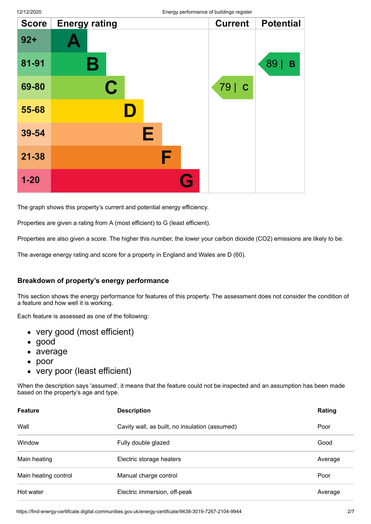|              |                         | ັບ ກ     |                |                  |
|--------------|-------------------------|----------|----------------|------------------|
| <b>Score</b> | <b>Energy rating</b>    |          | <b>Current</b> | <b>Potential</b> |
| $92 +$       |                         |          |                |                  |
| 81-91        | B                       |          |                | 89<br>B          |
| 69-80        | $\overline{\mathbf{C}}$ |          | 79   C         |                  |
| 55-68        |                         |          |                |                  |
| 39-54        | Е                       |          |                |                  |
| $21 - 38$    | F                       |          |                |                  |
| $1 - 20$     |                         | <b>A</b> |                |                  |

The graph shows this property's current and potential energy efficiency.

Properties are given a rating from A (most efficient) to G (least efficient).

Properties are also given a score. The higher this number, the lower your carbon dioxide (CO2) emissions are likely to be.

The average energy rating and score for a property in England and Wales are D (60).

#### **Breakdown of property's energy performance**

This section shows the energy performance for features of this property. The assessment does not consider the condition of a feature and how well it is working.

Each feature is assessed as one of the following:

- very good (most efficient)
- good
- average
- $\bullet$ poor
- very poor (least efficient)

When the description says 'assumed', it means that the feature could not be inspected and an assumption has been made based on the property's age and type.

| <b>Feature</b>       | <b>Description</b>                             | Rating  |
|----------------------|------------------------------------------------|---------|
| Wall                 | Cavity wall, as built, no insulation (assumed) | Poor    |
| Window               | Fully double glazed                            | Good    |
| Main heating         | Electric storage heaters                       | Average |
| Main heating control | Manual charge control                          | Poor    |
| Hot water            | Electric immersion, off-peak                   | Average |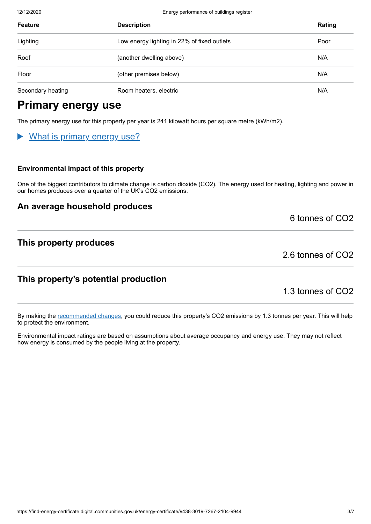12/12/2020 Energy performance of buildings register

| <b>Feature</b>    | <b>Description</b>                          | Rating |
|-------------------|---------------------------------------------|--------|
| Lighting          | Low energy lighting in 22% of fixed outlets | Poor   |
| Roof              | (another dwelling above)                    | N/A    |
| Floor             | (other premises below)                      | N/A    |
| Secondary heating | Room heaters, electric                      | N/A    |

# **Primary energy use**

The primary energy use for this property per year is 241 kilowatt hours per square metre (kWh/m2).

# What is primary energy use?

#### **Environmental impact of this property**

One of the biggest contributors to climate change is carbon dioxide (CO2). The energy used for heating, lighting and power in our homes produces over a quarter of the UK's CO2 emissions.

## **An average household produces**

6 tonnes of CO2

# **This property produces**

2.6 tonnes of CO2

# **This property's potential production**

1.3 tonnes of CO2

By making the [recommended changes](#page-3-0), you could reduce this property's CO2 emissions by 1.3 tonnes per year. This will help to protect the environment.

Environmental impact ratings are based on assumptions about average occupancy and energy use. They may not reflect how energy is consumed by the people living at the property.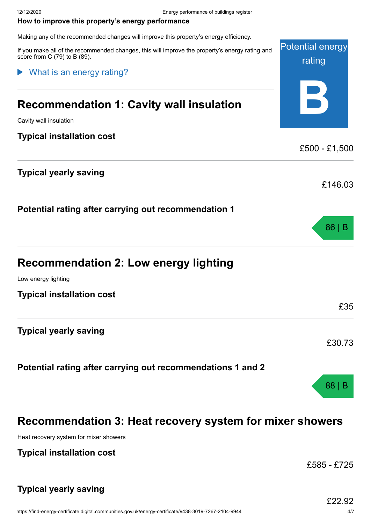#### <span id="page-3-0"></span>**How to improve this property's energy performance**

Making any of the recommended changes will improve this property's energy efficiency.

If you make all of the recommended changes, this will improve the property's energy rating and score from C (79) to B (89).

## What is an energy rating?

# **Recommendation 1: Cavity wall insulation**

Cavity wall insulation

## **Typical installation cost**

# **Typical yearly saving**

**Potential rating after carrying out recommendation 1**

| <b>Recommendation 2: Low energy lighting</b> |  |  |  |
|----------------------------------------------|--|--|--|
|----------------------------------------------|--|--|--|

Low energy lighting

**Typical installation cost**

**Typical yearly saving**

# **Potential rating after carrying out recommendations 1 and 2**

# **Recommendation 3: Heat recovery system for mixer showers**

Heat recovery system for mixer showers

## **Typical installation cost**

£585 - £725

Potential energy

rating

**B**

£500 - £1,500

£146.03

86 | B

£35

£30.73

88 | B

# **Typical yearly saving**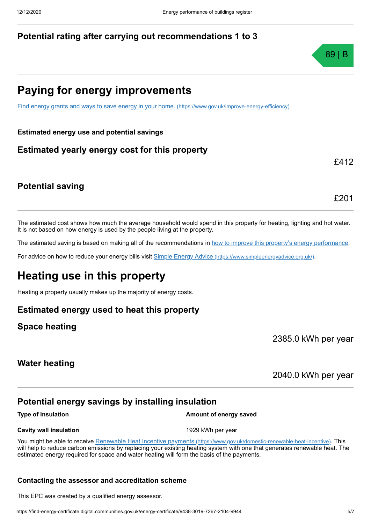# **Potential rating after carrying out recommendations 1 to 3**

# **Paying for energy improvements**

[Find energy grants and ways to save energy in your home.](https://www.gov.uk/improve-energy-efficiency) (https://www.gov.uk/improve-energy-efficiency)

**Estimated energy use and potential savings**

# **Estimated yearly energy cost for this property**

## **Potential saving**

The estimated cost shows how much the average household would spend in this property for heating, lighting and hot water. It is not based on how energy is used by the people living at the property.

The estimated saving is based on making all of the recommendations in [how to improve this property's energy performance.](#page-3-0)

For advice on how to reduce your energy bills visit Simple Energy Advice [\(https://www.simpleenergyadvice.org.uk/\)](https://www.simpleenergyadvice.org.uk/).

# **Heating use in this property**

Heating a property usually makes up the majority of energy costs.

## **Estimated energy used to heat this property**

## **Space heating**

2385.0 kWh per year

## **Water heating**

2040.0 kWh per year

# **Potential energy savings by installing insulation**

**Type of insulation Amount of energy saved** 

#### **Cavity wall insulation** 1929 kWh per year

You might be able to receive Renewable Heat Incentive payments [\(https://www.gov.uk/domestic-renewable-heat-incentive\)](https://www.gov.uk/domestic-renewable-heat-incentive). This will help to reduce carbon emissions by replacing your existing heating system with one that generates renewable heat. The estimated energy required for space and water heating will form the basis of the payments.

#### **Contacting the assessor and accreditation scheme**

This EPC was created by a qualified energy assessor.



£412

£201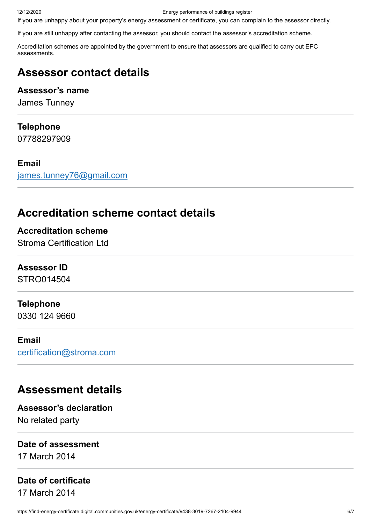12/12/2020 Energy performance of buildings register

If you are unhappy about your property's energy assessment or certificate, you can complain to the assessor directly.

If you are still unhappy after contacting the assessor, you should contact the assessor's accreditation scheme.

Accreditation schemes are appointed by the government to ensure that assessors are qualified to carry out EPC assessments.

# **Assessor contact details**

# **Assessor's name**

James Tunney

# **Telephone**

07788297909

# **Email**

[james.tunney76@gmail.com](mailto:james.tunney76@gmail.com)

# **Accreditation scheme contact details**

**Accreditation scheme** Stroma Certification Ltd

# **Assessor ID**

STRO014504

# **Telephone**

0330 124 9660

# **Email**

[certification@stroma.com](mailto:certification@stroma.com)

# **Assessment details**

**Assessor's declaration** No related party

## **Date of assessment**

17 March 2014

# **Date of certificate**

17 March 2014